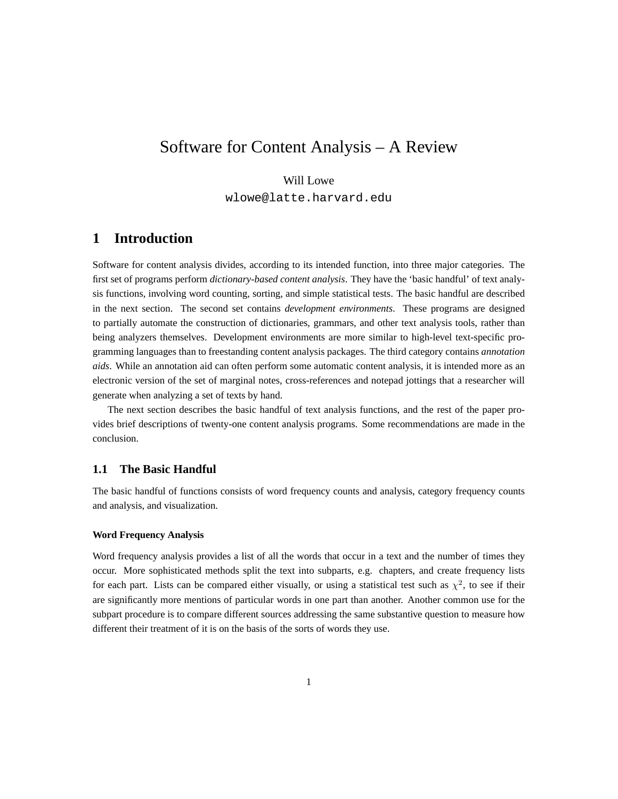# Software for Content Analysis – A Review

### Will Lowe

wlowe@latte.harvard.edu

# **1 Introduction**

Software for content analysis divides, according to its intended function, into three major categories. The first set of programs perform *dictionary-based content analysis*. They have the 'basic handful' of text analysis functions, involving word counting, sorting, and simple statistical tests. The basic handful are described in the next section. The second set contains *development environments*. These programs are designed to partially automate the construction of dictionaries, grammars, and other text analysis tools, rather than being analyzers themselves. Development environments are more similar to high-level text-specific programming languages than to freestanding content analysis packages. The third category contains *annotation aids*. While an annotation aid can often perform some automatic content analysis, it is intended more as an electronic version of the set of marginal notes, cross-references and notepad jottings that a researcher will generate when analyzing a set of texts by hand.

The next section describes the basic handful of text analysis functions, and the rest of the paper provides brief descriptions of twenty-one content analysis programs. Some recommendations are made in the conclusion.

### **1.1 The Basic Handful**

The basic handful of functions consists of word frequency counts and analysis, category frequency counts and analysis, and visualization.

#### **Word Frequency Analysis**

Word frequency analysis provides a list of all the words that occur in a text and the number of times they occur. More sophisticated methods split the text into subparts, e.g. chapters, and create frequency lists for each part. Lists can be compared either visually, or using a statistical test such as  $\chi^2$ , to see if their are significantly more mentions of particular words in one part than another. Another common use for the subpart procedure is to compare different sources addressing the same substantive question to measure how different their treatment of it is on the basis of the sorts of words they use.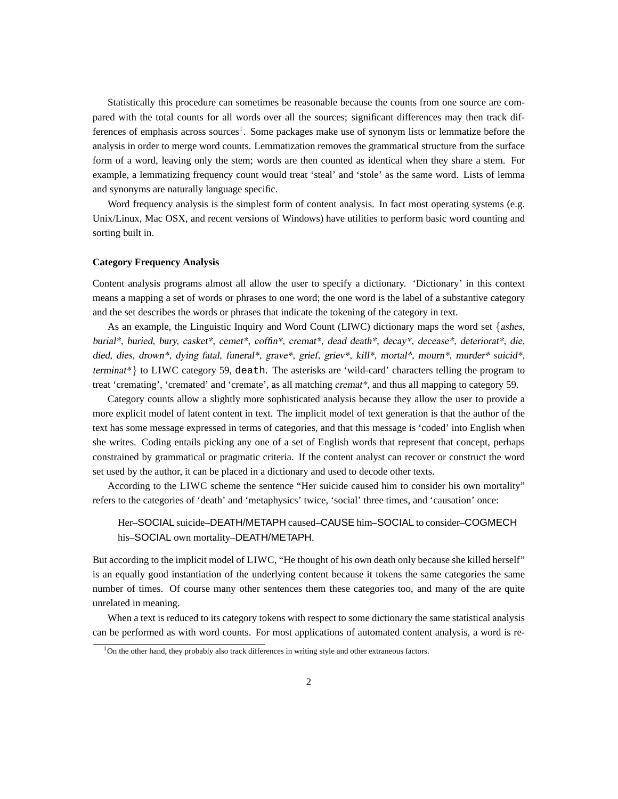Statistically this procedure can sometimes be reasonable because the counts from one source are compared with the total counts for all words over all the sources; significant differences may then track dif-ferences of emphasis across sources<sup>[1](#page-1-0)</sup>. Some packages make use of synonym lists or lemmatize before the analysis in order to merge word counts. Lemmatization removes the grammatical structure from the surface form of a word, leaving only the stem; words are then counted as identical when they share a stem. For example, a lemmatizing frequency count would treat 'steal' and 'stole' as the same word. Lists of lemma and synonyms are naturally language specific.

Word frequency analysis is the simplest form of content analysis. In fact most operating systems (e.g. Unix/Linux, Mac OSX, and recent versions of Windows) have utilities to perform basic word counting and sorting built in.

#### **Category Frequency Analysis**

Content analysis programs almost all allow the user to specify a dictionary. 'Dictionary' in this context means a mapping a set of words or phrases to one word; the one word is the label of a substantive category and the set describes the words or phrases that indicate the tokening of the category in text.

As an example, the Linguistic Inquiry and Word Count (LIWC) dictionary maps the word set  $\{ashes,$ burial\*, buried, bury, casket\*, cemet\*, coffin\*, cremat\*, dead death\*, decay\*, decease\*, deteriorat\*, die, died, dies, drown\*, dying fatal, funeral\*, grave\*, grief, griev\*, kill\*, mortal\*, mourn\*, murder\* suicid\*, terminat\*} to LIWC category 59, death. The asterisks are 'wild-card' characters telling the program to treat 'cremating', 'cremated' and 'cremate', as all matching cremat\*, and thus all mapping to category 59.

Category counts allow a slightly more sophisticated analysis because they allow the user to provide a more explicit model of latent content in text. The implicit model of text generation is that the author of the text has some message expressed in terms of categories, and that this message is 'coded' into English when she writes. Coding entails picking any one of a set of English words that represent that concept, perhaps constrained by grammatical or pragmatic criteria. If the content analyst can recover or construct the word set used by the author, it can be placed in a dictionary and used to decode other texts.

According to the LIWC scheme the sentence "Her suicide caused him to consider his own mortality" refers to the categories of 'death' and 'metaphysics' twice, 'social' three times, and 'causation' once:

# Her–SOCIAL suicide–DEATH/METAPH caused–CAUSE him–SOCIAL to consider–COGMECH his–SOCIAL own mortality–DEATH/METAPH.

But according to the implicit model of LIWC, "He thought of his own death only because she killed herself" is an equally good instantiation of the underlying content because it tokens the same categories the same number of times. Of course many other sentences them these categories too, and many of the are quite unrelated in meaning.

When a text is reduced to its category tokens with respect to some dictionary the same statistical analysis can be performed as with word counts. For most applications of automated content analysis, a word is re-

<span id="page-1-0"></span><sup>&</sup>lt;sup>1</sup>On the other hand, they probably also track differences in writing style and other extraneous factors.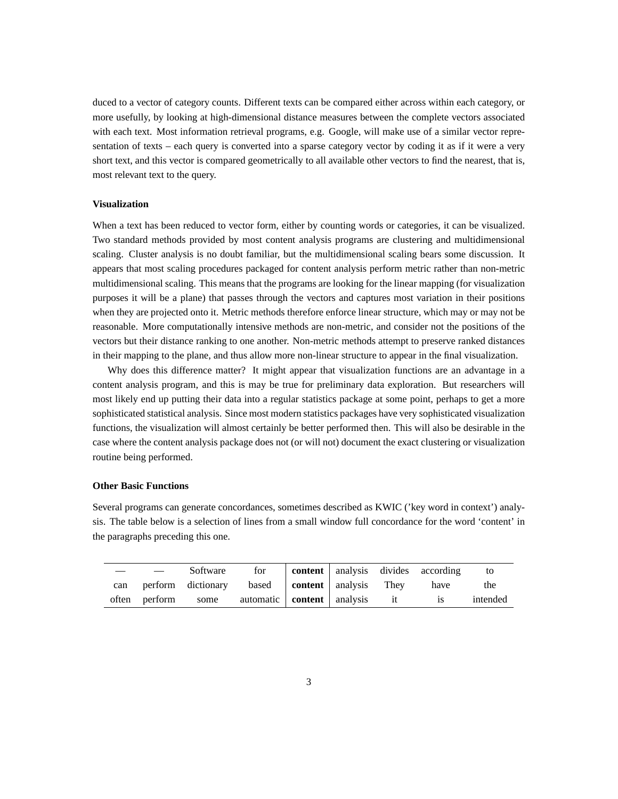duced to a vector of category counts. Different texts can be compared either across within each category, or more usefully, by looking at high-dimensional distance measures between the complete vectors associated with each text. Most information retrieval programs, e.g. Google, will make use of a similar vector representation of texts – each query is converted into a sparse category vector by coding it as if it were a very short text, and this vector is compared geometrically to all available other vectors to find the nearest, that is, most relevant text to the query.

### **Visualization**

When a text has been reduced to vector form, either by counting words or categories, it can be visualized. Two standard methods provided by most content analysis programs are clustering and multidimensional scaling. Cluster analysis is no doubt familiar, but the multidimensional scaling bears some discussion. It appears that most scaling procedures packaged for content analysis perform metric rather than non-metric multidimensional scaling. This means that the programs are looking for the linear mapping (for visualization purposes it will be a plane) that passes through the vectors and captures most variation in their positions when they are projected onto it. Metric methods therefore enforce linear structure, which may or may not be reasonable. More computationally intensive methods are non-metric, and consider not the positions of the vectors but their distance ranking to one another. Non-metric methods attempt to preserve ranked distances in their mapping to the plane, and thus allow more non-linear structure to appear in the final visualization.

Why does this difference matter? It might appear that visualization functions are an advantage in a content analysis program, and this is may be true for preliminary data exploration. But researchers will most likely end up putting their data into a regular statistics package at some point, perhaps to get a more sophisticated statistical analysis. Since most modern statistics packages have very sophisticated visualization functions, the visualization will almost certainly be better performed then. This will also be desirable in the case where the content analysis package does not (or will not) document the exact clustering or visualization routine being performed.

#### **Other Basic Functions**

Several programs can generate concordances, sometimes described as KWIC ('key word in context') analysis. The table below is a selection of lines from a small window full concordance for the word 'content' in the paragraphs preceding this one.

|     | Software                                                | for |  | content   analysis divides according | to       |
|-----|---------------------------------------------------------|-----|--|--------------------------------------|----------|
| can | perform dictionary based content analysis They          |     |  | have                                 | the      |
|     | often perform some automatic <b>content</b> analysis it |     |  | <b>1S</b>                            | intended |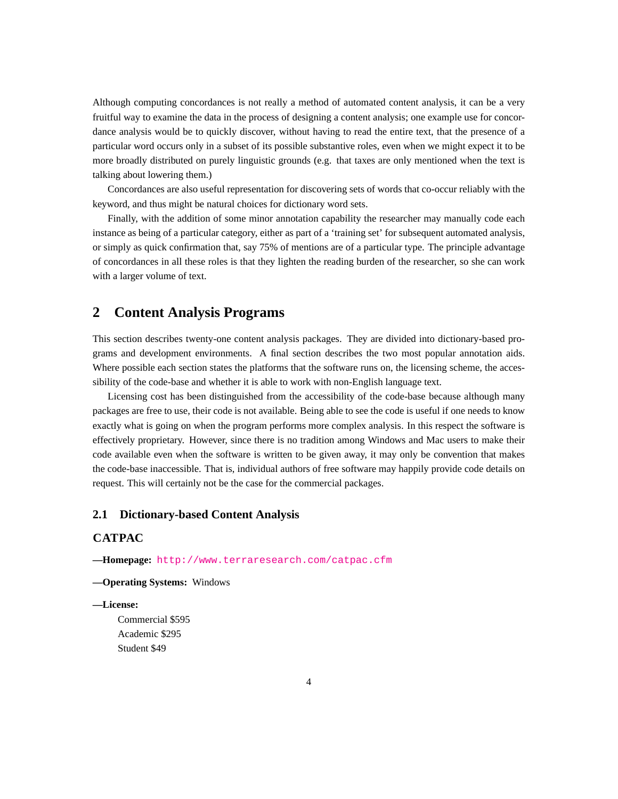Although computing concordances is not really a method of automated content analysis, it can be a very fruitful way to examine the data in the process of designing a content analysis; one example use for concordance analysis would be to quickly discover, without having to read the entire text, that the presence of a particular word occurs only in a subset of its possible substantive roles, even when we might expect it to be more broadly distributed on purely linguistic grounds (e.g. that taxes are only mentioned when the text is talking about lowering them.)

Concordances are also useful representation for discovering sets of words that co-occur reliably with the keyword, and thus might be natural choices for dictionary word sets.

Finally, with the addition of some minor annotation capability the researcher may manually code each instance as being of a particular category, either as part of a 'training set' for subsequent automated analysis, or simply as quick confirmation that, say 75% of mentions are of a particular type. The principle advantage of concordances in all these roles is that they lighten the reading burden of the researcher, so she can work with a larger volume of text.

# **2 Content Analysis Programs**

This section describes twenty-one content analysis packages. They are divided into dictionary-based programs and development environments. A final section describes the two most popular annotation aids. Where possible each section states the platforms that the software runs on, the licensing scheme, the accessibility of the code-base and whether it is able to work with non-English language text.

Licensing cost has been distinguished from the accessibility of the code-base because although many packages are free to use, their code is not available. Being able to see the code is useful if one needs to know exactly what is going on when the program performs more complex analysis. In this respect the software is effectively proprietary. However, since there is no tradition among Windows and Mac users to make their code available even when the software is written to be given away, it may only be convention that makes the code-base inaccessible. That is, individual authors of free software may happily provide code details on request. This will certainly not be the case for the commercial packages.

### **2.1 Dictionary-based Content Analysis**

### **CATPAC**

**—Homepage:** <http://www.terraresearch.com/catpac.cfm>

#### **—Operating Systems:** Windows

### **—License:**

Commercial \$595 Academic \$295 Student \$49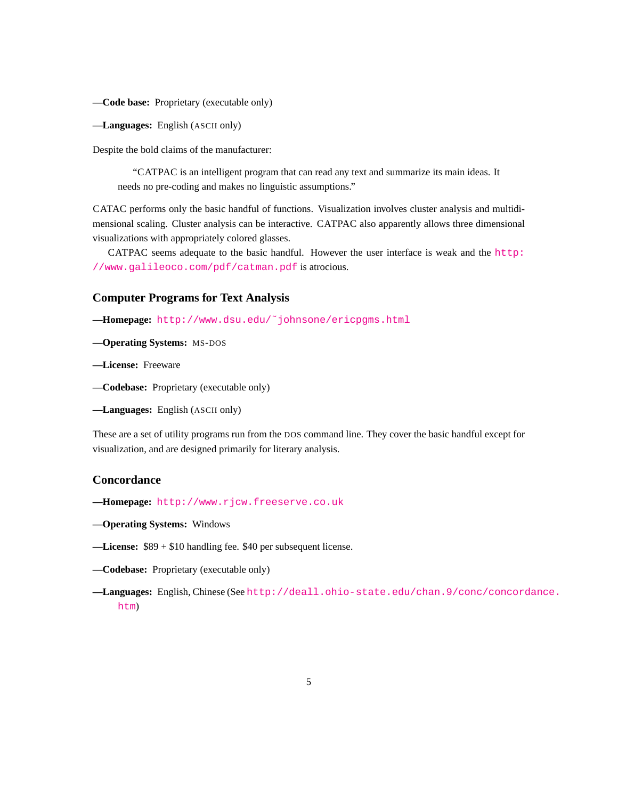**—Code base:** Proprietary (executable only)

**—Languages:** English (ASCII only)

Despite the bold claims of the manufacturer:

"CATPAC is an intelligent program that can read any text and summarize its main ideas. It needs no pre-coding and makes no linguistic assumptions."

CATAC performs only the basic handful of functions. Visualization involves cluster analysis and multidimensional scaling. Cluster analysis can be interactive. CATPAC also apparently allows three dimensional visualizations with appropriately colored glasses.

CATPAC seems adequate to the basic handful. However the user interface is weak and the [http:](http://www.galileoco.com/pdf/catman.pdf) [//www.galileoco.com/pdf/catman.pdf](http://www.galileoco.com/pdf/catman.pdf) is atrocious.

### **Computer Programs for Text Analysis**

**—Homepage:** [http://www.dsu.edu/˜johnsone/ericpgms.html](http://www.dsu.edu/~johnsone/ericpgms.html)

**—Operating Systems:** MS-DOS

**—License:** Freeware

**—Codebase:** Proprietary (executable only)

**—Languages:** English (ASCII only)

These are a set of utility programs run from the DOS command line. They cover the basic handful except for visualization, and are designed primarily for literary analysis.

### **Concordance**

- **—Homepage:** <http://www.rjcw.freeserve.co.uk>
- **—Operating Systems:** Windows
- **—License:** \$89 + \$10 handling fee. \$40 per subsequent license.
- **—Codebase:** Proprietary (executable only)
- **—Languages:** English, Chinese (See [http://deall.ohio-state.edu/chan.9/conc/concord](http://deall.ohio-state.edu/chan.9/conc/concordance.htm)ance. [htm](http://deall.ohio-state.edu/chan.9/conc/concordance.htm))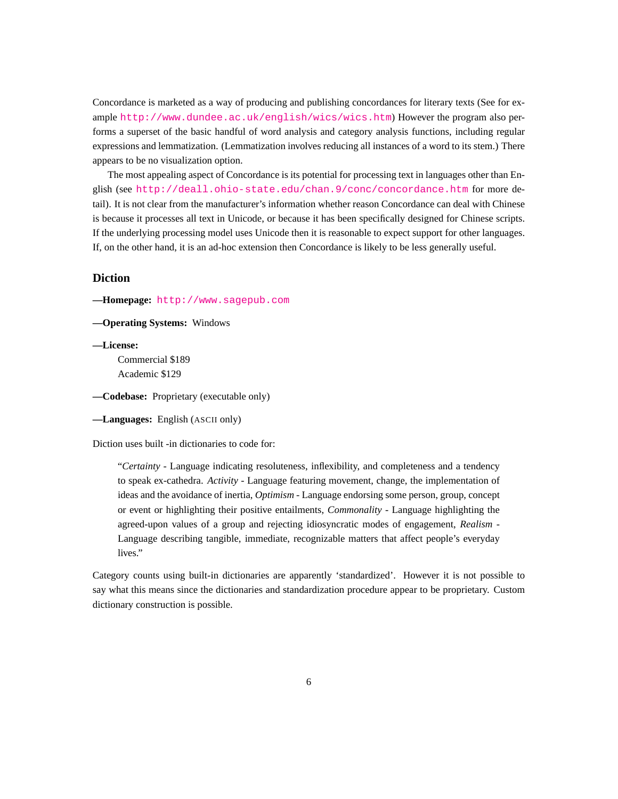Concordance is marketed as a way of producing and publishing concordances for literary texts (See for example <http://www.dundee.ac.uk/english/wics/wics.htm>) However the program also performs a superset of the basic handful of word analysis and category analysis functions, including regular expressions and lemmatization. (Lemmatization involves reducing all instances of a word to its stem.) There appears to be no visualization option.

The most appealing aspect of Concordance is its potential for processing text in languages other than English (see <http://deall.ohio-state.edu/chan.9/conc/concordance.htm> for more detail). It is not clear from the manufacturer's information whether reason Concordance can deal with Chinese is because it processes all text in Unicode, or because it has been specifically designed for Chinese scripts. If the underlying processing model uses Unicode then it is reasonable to expect support for other languages. If, on the other hand, it is an ad-hoc extension then Concordance is likely to be less generally useful.

### **Diction**

**—Homepage:** <http://www.sagepub.com>

**—Operating Systems:** Windows

**—License:**

Commercial \$189 Academic \$129

**—Codebase:** Proprietary (executable only)

**—Languages:** English (ASCII only)

Diction uses built -in dictionaries to code for:

"*Certainty* - Language indicating resoluteness, inflexibility, and completeness and a tendency to speak ex-cathedra. *Activity* - Language featuring movement, change, the implementation of ideas and the avoidance of inertia, *Optimism* - Language endorsing some person, group, concept or event or highlighting their positive entailments, *Commonality* - Language highlighting the agreed-upon values of a group and rejecting idiosyncratic modes of engagement, *Realism* - Language describing tangible, immediate, recognizable matters that affect people's everyday lives."

Category counts using built-in dictionaries are apparently 'standardized'. However it is not possible to say what this means since the dictionaries and standardization procedure appear to be proprietary. Custom dictionary construction is possible.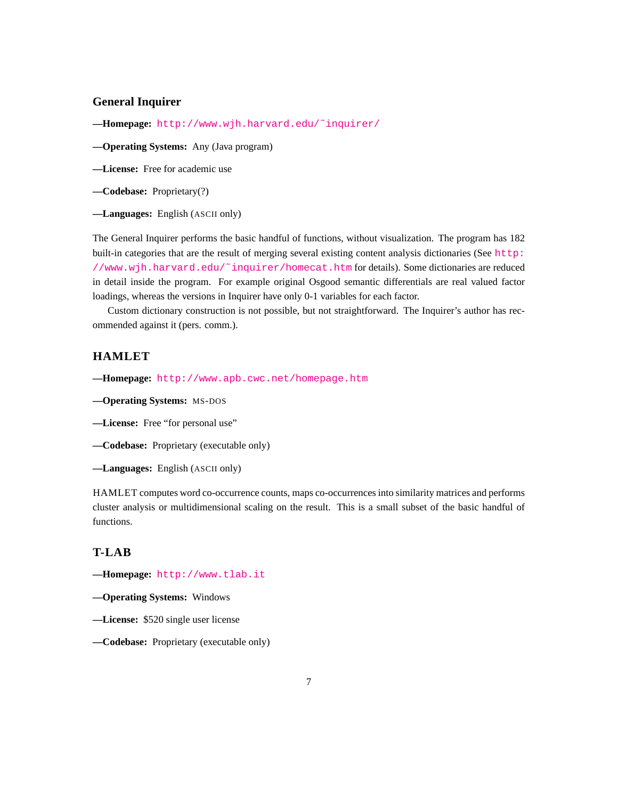### **General Inquirer**

**—Homepage:** [http://www.wjh.harvard.edu/˜inquirer/](http://www.wjh.harvard.edu/~inquirer/)

**—Operating Systems:** Any (Java program)

**—License:** Free for academic use

**—Codebase:** Proprietary(?)

**—Languages:** English (ASCII only)

The General Inquirer performs the basic handful of functions, without visualization. The program has 182 built-in categories that are the result of merging several existing content analysis dictionaries (See [http:](http://www.wjh.harvard.edu/~inquirer/homecat.htm) [//www.wjh.harvard.edu/˜inquirer/homecat.htm](http://www.wjh.harvard.edu/~inquirer/homecat.htm) for details). Some dictionaries are reduced in detail inside the program. For example original Osgood semantic differentials are real valued factor loadings, whereas the versions in Inquirer have only 0-1 variables for each factor.

Custom dictionary construction is not possible, but not straightforward. The Inquirer's author has recommended against it (pers. comm.).

# **HAMLET**

**—Homepage:** <http://www.apb.cwc.net/homepage.htm>

**—Operating Systems:** MS-DOS

**—License:** Free "for personal use"

**—Codebase:** Proprietary (executable only)

**—Languages:** English (ASCII only)

HAMLET computes word co-occurrence counts, maps co-occurrences into similarity matrices and performs cluster analysis or multidimensional scaling on the result. This is a small subset of the basic handful of functions.

### **T-LAB**

**—Homepage:** <http://www.tlab.it>

**—Operating Systems:** Windows

- **—License:** \$520 single user license
- **—Codebase:** Proprietary (executable only)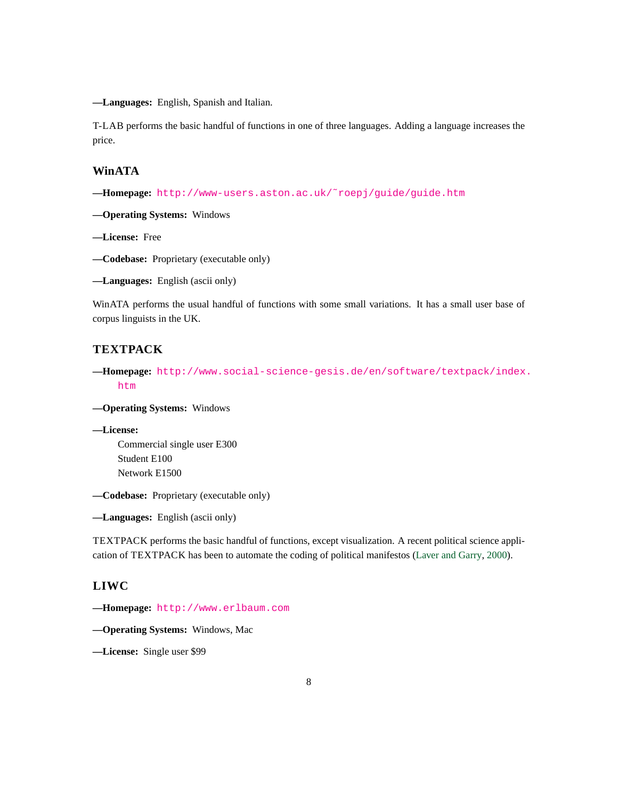**—Languages:** English, Spanish and Italian.

T-LAB performs the basic handful of functions in one of three languages. Adding a language increases the price.

### **WinATA**

**—Homepage:** [http://www-users.aston.ac.uk/˜roepj/guide/guide.htm](http://www-users.aston.ac.uk/~roepj/guide/guide.htm)

**—Operating Systems:** Windows

**—License:** Free

**—Codebase:** Proprietary (executable only)

**—Languages:** English (ascii only)

WinATA performs the usual handful of functions with some small variations. It has a small user base of corpus linguists in the UK.

### **TEXTPACK**

**—Homepage:** [http://www.social-science-gesis.de/en/software/textpack/index](http://www.social-science-gesis.de/en/software/textpack/index.htm). [htm](http://www.social-science-gesis.de/en/software/textpack/index.htm)

**—Operating Systems:** Windows

**—License:** Commercial single user E300 Student E100 Network E1500

**—Codebase:** Proprietary (executable only)

**—Languages:** English (ascii only)

TEXTPACK performs the basic handful of functions, except visualization. A recent political science application of TEXTPACK has been to automate the coding of political manifestos [\(Laver and Garry,](#page-17-0) [2000\)](#page-17-0).

### **LIWC**

**—Homepage:** <http://www.erlbaum.com>

**—Operating Systems:** Windows, Mac

**—License:** Single user \$99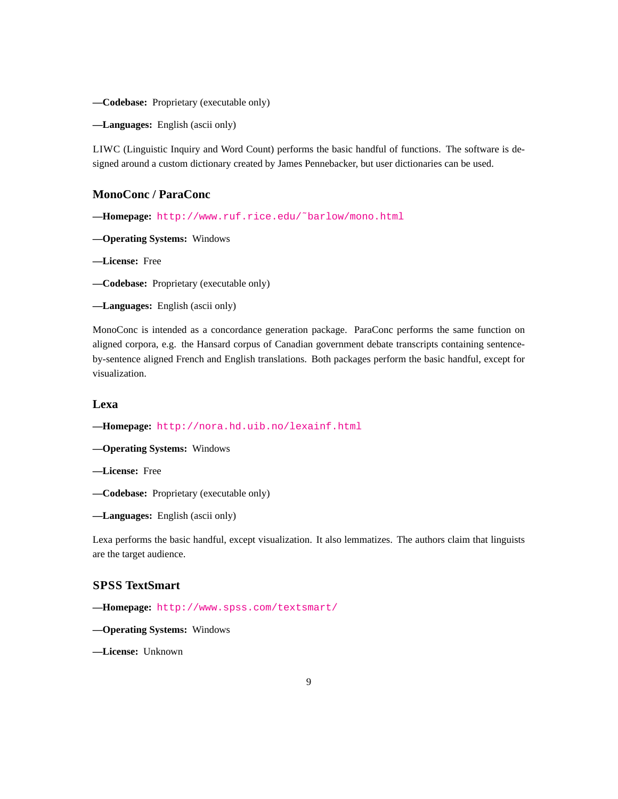**—Codebase:** Proprietary (executable only)

**—Languages:** English (ascii only)

LIWC (Linguistic Inquiry and Word Count) performs the basic handful of functions. The software is designed around a custom dictionary created by James Pennebacker, but user dictionaries can be used.

### **MonoConc / ParaConc**

**—Homepage:** [http://www.ruf.rice.edu/˜barlow/mono.html](http://www.ruf.rice.edu/~barlow/mono.html)

**—Operating Systems:** Windows

**—License:** Free

**—Codebase:** Proprietary (executable only)

**—Languages:** English (ascii only)

MonoConc is intended as a concordance generation package. ParaConc performs the same function on aligned corpora, e.g. the Hansard corpus of Canadian government debate transcripts containing sentenceby-sentence aligned French and English translations. Both packages perform the basic handful, except for visualization.

### **Lexa**

**—Homepage:** <http://nora.hd.uib.no/lexainf.html>

**—Operating Systems:** Windows

**—License:** Free

**—Codebase:** Proprietary (executable only)

**—Languages:** English (ascii only)

Lexa performs the basic handful, except visualization. It also lemmatizes. The authors claim that linguists are the target audience.

# **SPSS TextSmart**

**—Homepage:** <http://www.spss.com/textsmart/>

**—Operating Systems:** Windows

**—License:** Unknown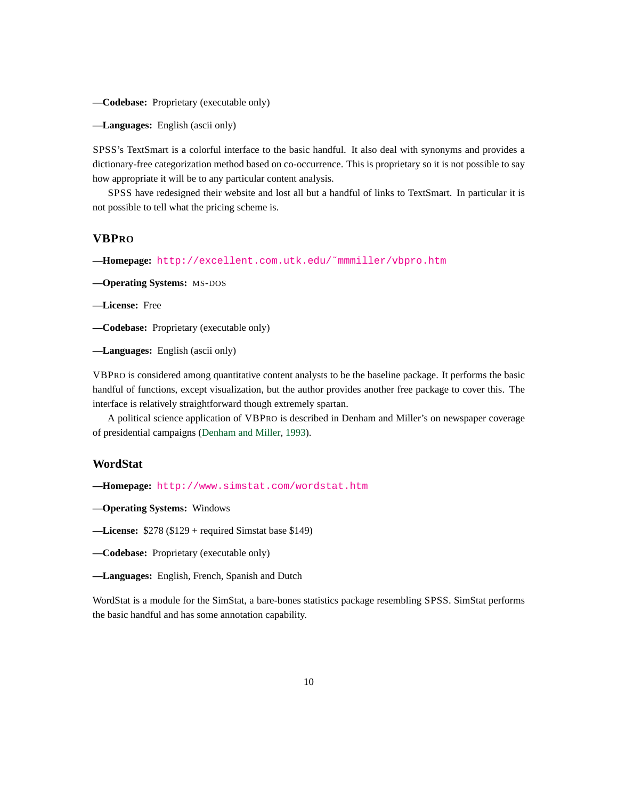**—Codebase:** Proprietary (executable only)

**—Languages:** English (ascii only)

SPSS's TextSmart is a colorful interface to the basic handful. It also deal with synonyms and provides a dictionary-free categorization method based on co-occurrence. This is proprietary so it is not possible to say how appropriate it will be to any particular content analysis.

SPSS have redesigned their website and lost all but a handful of links to TextSmart. In particular it is not possible to tell what the pricing scheme is.

### **VBPRO**

**—Homepage:** [http://excellent.com.utk.edu/˜mmmiller/vbpro.htm](http://excellent.com.utk.edu/~mmmiller/vbpro.htm)

**—Operating Systems:** MS-DOS

**—License:** Free

**—Codebase:** Proprietary (executable only)

**—Languages:** English (ascii only)

VBPRO is considered among quantitative content analysts to be the baseline package. It performs the basic handful of functions, except visualization, but the author provides another free package to cover this. The interface is relatively straightforward though extremely spartan.

A political science application of VBPRO is described in Denham and Miller's on newspaper coverage of presidential campaigns [\(Denham and Miller,](#page-17-1) [1993\)](#page-17-1).

### **WordStat**

**—Homepage:** <http://www.simstat.com/wordstat.htm>

**—Operating Systems:** Windows

**—License:** \$278 (\$129 + required Simstat base \$149)

**—Codebase:** Proprietary (executable only)

WordStat is a module for the SimStat, a bare-bones statistics package resembling SPSS. SimStat performs the basic handful and has some annotation capability.

**<sup>—</sup>Languages:** English, French, Spanish and Dutch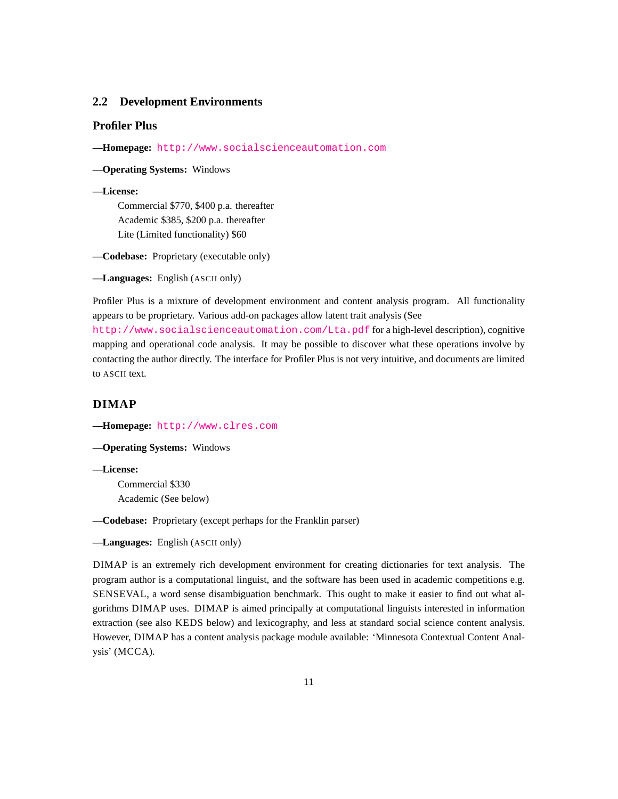### **2.2 Development Environments**

### **Profiler Plus**

**—Homepage:** <http://www.socialscienceautomation.com>

**—Operating Systems:** Windows

#### **—License:**

Commercial \$770, \$400 p.a. thereafter Academic \$385, \$200 p.a. thereafter Lite (Limited functionality) \$60

**—Codebase:** Proprietary (executable only)

**—Languages:** English (ASCII only)

Profiler Plus is a mixture of development environment and content analysis program. All functionality appears to be proprietary. Various add-on packages allow latent trait analysis (See

<http://www.socialscienceautomation.com/Lta.pdf> for a high-level description), cognitive mapping and operational code analysis. It may be possible to discover what these operations involve by contacting the author directly. The interface for Profiler Plus is not very intuitive, and documents are limited to ASCII text.

## **DIMAP**

**—Homepage:** <http://www.clres.com>

**—Operating Systems:** Windows

**—License:**

Commercial \$330 Academic (See below)

**—Codebase:** Proprietary (except perhaps for the Franklin parser)

**—Languages:** English (ASCII only)

DIMAP is an extremely rich development environment for creating dictionaries for text analysis. The program author is a computational linguist, and the software has been used in academic competitions e.g. SENSEVAL, a word sense disambiguation benchmark. This ought to make it easier to find out what algorithms DIMAP uses. DIMAP is aimed principally at computational linguists interested in information extraction (see also KEDS below) and lexicography, and less at standard social science content analysis. However, DIMAP has a content analysis package module available: 'Minnesota Contextual Content Analysis' (MCCA).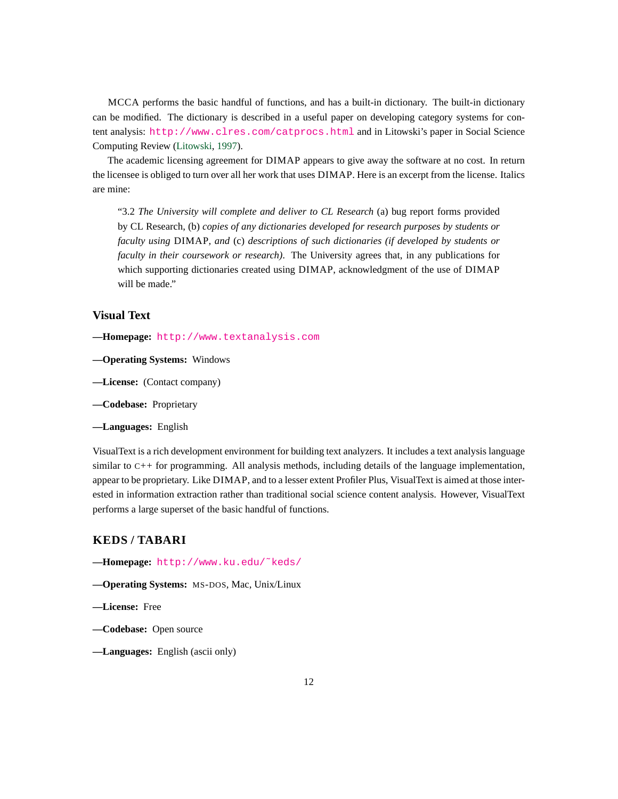MCCA performs the basic handful of functions, and has a built-in dictionary. The built-in dictionary can be modified. The dictionary is described in a useful paper on developing category systems for content analysis: <http://www.clres.com/catprocs.html> and in Litowski's paper in Social Science Computing Review [\(Litowski,](#page-17-2) [1997\)](#page-17-2).

The academic licensing agreement for DIMAP appears to give away the software at no cost. In return the licensee is obliged to turn over all her work that uses DIMAP. Here is an excerpt from the license. Italics are mine:

"3.2 *The University will complete and deliver to CL Research* (a) bug report forms provided by CL Research, (b) *copies of any dictionaries developed for research purposes by students or faculty using* DIMAP*, and* (c) *descriptions of such dictionaries (if developed by students or faculty in their coursework or research)*. The University agrees that, in any publications for which supporting dictionaries created using DIMAP, acknowledgment of the use of DIMAP will be made."

### **Visual Text**

- **—Homepage:** <http://www.textanalysis.com>
- **—Operating Systems:** Windows
- **—License:** (Contact company)
- **—Codebase:** Proprietary
- **—Languages:** English

VisualText is a rich development environment for building text analyzers. It includes a text analysis language similar to C++ for programming. All analysis methods, including details of the language implementation, appear to be proprietary. Like DIMAP, and to a lesser extent Profiler Plus, VisualText is aimed at those interested in information extraction rather than traditional social science content analysis. However, VisualText performs a large superset of the basic handful of functions.

### **KEDS / TABARI**

**—Homepage:** [http://www.ku.edu/˜keds/](http://www.ku.edu/~keds/)

- **—Operating Systems:** MS-DOS, Mac, Unix/Linux
- **—License:** Free
- **—Codebase:** Open source
- **—Languages:** English (ascii only)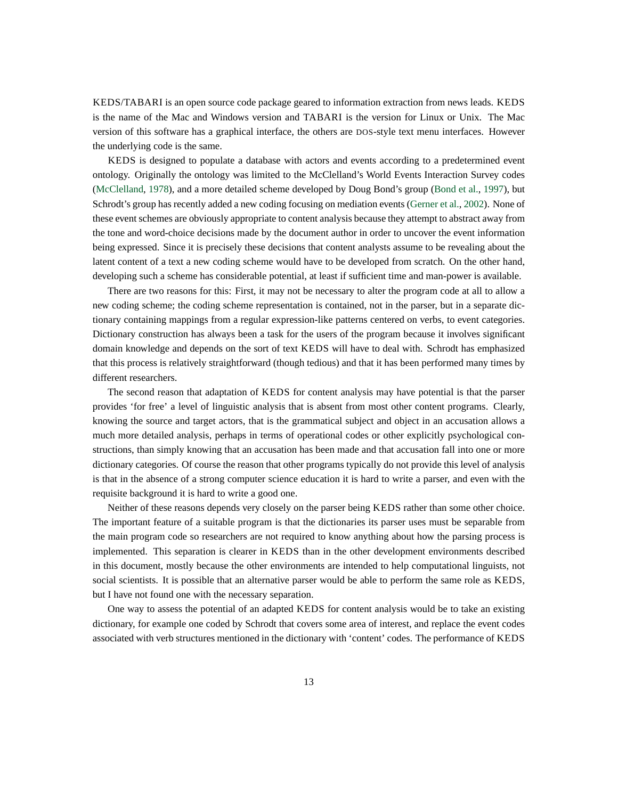KEDS/TABARI is an open source code package geared to information extraction from news leads. KEDS is the name of the Mac and Windows version and TABARI is the version for Linux or Unix. The Mac version of this software has a graphical interface, the others are DOS-style text menu interfaces. However the underlying code is the same.

KEDS is designed to populate a database with actors and events according to a predetermined event ontology. Originally the ontology was limited to the McClelland's World Events Interaction Survey codes [\(McClelland,](#page-17-3) [1978\)](#page-17-3), and a more detailed scheme developed by Doug Bond's group [\(Bond et al.,](#page-17-4) [1997\)](#page-17-4), but Schrodt's group has recently added a new coding focusing on mediation events [\(Gerner et al.,](#page-17-5) [2002\)](#page-17-5). None of these event schemes are obviously appropriate to content analysis because they attempt to abstract away from the tone and word-choice decisions made by the document author in order to uncover the event information being expressed. Since it is precisely these decisions that content analysts assume to be revealing about the latent content of a text a new coding scheme would have to be developed from scratch. On the other hand, developing such a scheme has considerable potential, at least if sufficient time and man-power is available.

There are two reasons for this: First, it may not be necessary to alter the program code at all to allow a new coding scheme; the coding scheme representation is contained, not in the parser, but in a separate dictionary containing mappings from a regular expression-like patterns centered on verbs, to event categories. Dictionary construction has always been a task for the users of the program because it involves significant domain knowledge and depends on the sort of text KEDS will have to deal with. Schrodt has emphasized that this process is relatively straightforward (though tedious) and that it has been performed many times by different researchers.

The second reason that adaptation of KEDS for content analysis may have potential is that the parser provides 'for free' a level of linguistic analysis that is absent from most other content programs. Clearly, knowing the source and target actors, that is the grammatical subject and object in an accusation allows a much more detailed analysis, perhaps in terms of operational codes or other explicitly psychological constructions, than simply knowing that an accusation has been made and that accusation fall into one or more dictionary categories. Of course the reason that other programs typically do not provide this level of analysis is that in the absence of a strong computer science education it is hard to write a parser, and even with the requisite background it is hard to write a good one.

Neither of these reasons depends very closely on the parser being KEDS rather than some other choice. The important feature of a suitable program is that the dictionaries its parser uses must be separable from the main program code so researchers are not required to know anything about how the parsing process is implemented. This separation is clearer in KEDS than in the other development environments described in this document, mostly because the other environments are intended to help computational linguists, not social scientists. It is possible that an alternative parser would be able to perform the same role as KEDS, but I have not found one with the necessary separation.

One way to assess the potential of an adapted KEDS for content analysis would be to take an existing dictionary, for example one coded by Schrodt that covers some area of interest, and replace the event codes associated with verb structures mentioned in the dictionary with 'content' codes. The performance of KEDS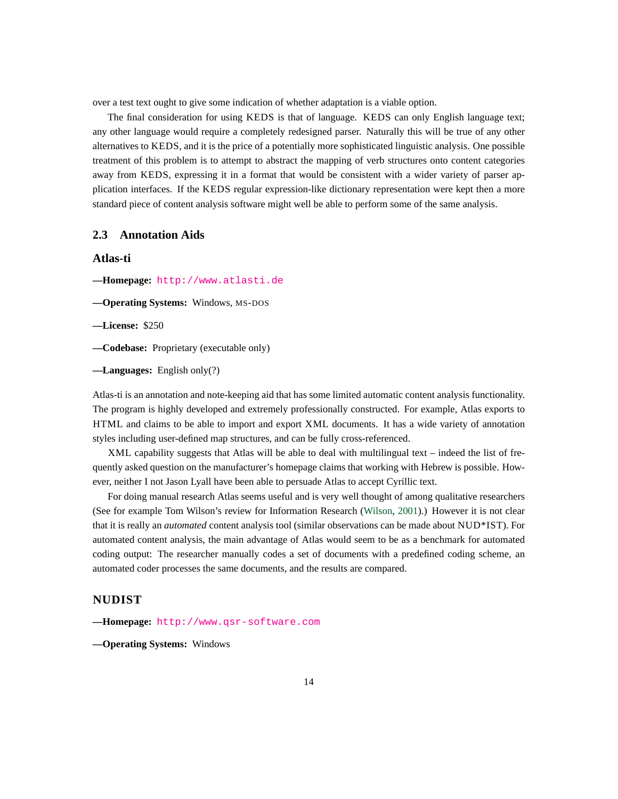over a test text ought to give some indication of whether adaptation is a viable option.

The final consideration for using KEDS is that of language. KEDS can only English language text; any other language would require a completely redesigned parser. Naturally this will be true of any other alternatives to KEDS, and it is the price of a potentially more sophisticated linguistic analysis. One possible treatment of this problem is to attempt to abstract the mapping of verb structures onto content categories away from KEDS, expressing it in a format that would be consistent with a wider variety of parser application interfaces. If the KEDS regular expression-like dictionary representation were kept then a more standard piece of content analysis software might well be able to perform some of the same analysis.

### **2.3 Annotation Aids**

### **Atlas-ti**

**—Homepage:** <http://www.atlasti.de>

**—Operating Systems:** Windows, MS-DOS

**—License:** \$250

**—Codebase:** Proprietary (executable only)

**—Languages:** English only(?)

Atlas-ti is an annotation and note-keeping aid that has some limited automatic content analysis functionality. The program is highly developed and extremely professionally constructed. For example, Atlas exports to HTML and claims to be able to import and export XML documents. It has a wide variety of annotation styles including user-defined map structures, and can be fully cross-referenced.

XML capability suggests that Atlas will be able to deal with multilingual text – indeed the list of frequently asked question on the manufacturer's homepage claims that working with Hebrew is possible. However, neither I not Jason Lyall have been able to persuade Atlas to accept Cyrillic text.

For doing manual research Atlas seems useful and is very well thought of among qualitative researchers (See for example Tom Wilson's review for Information Research [\(Wilson,](#page-17-6) [2001\)](#page-17-6).) However it is not clear that it is really an *automated* content analysis tool (similar observations can be made about NUD\*IST). For automated content analysis, the main advantage of Atlas would seem to be as a benchmark for automated coding output: The researcher manually codes a set of documents with a predefined coding scheme, an automated coder processes the same documents, and the results are compared.

## **NUDIST**

**—Homepage:** <http://www.qsr-software.com>

**—Operating Systems:** Windows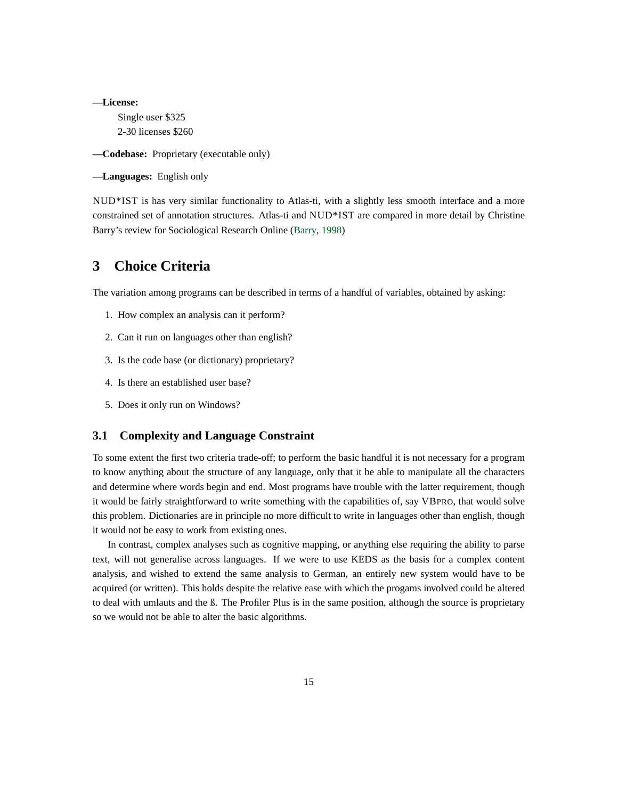**—License:** Single user \$325 2-30 licenses \$260

**—Codebase:** Proprietary (executable only)

**—Languages:** English only

NUD\*IST is has very similar functionality to Atlas-ti, with a slightly less smooth interface and a more constrained set of annotation structures. Atlas-ti and NUD\*IST are compared in more detail by Christine Barry's review for Sociological Research Online [\(Barry,](#page-17-7) [1998\)](#page-17-7)

# **3 Choice Criteria**

The variation among programs can be described in terms of a handful of variables, obtained by asking:

- 1. How complex an analysis can it perform?
- 2. Can it run on languages other than english?
- 3. Is the code base (or dictionary) proprietary?
- 4. Is there an established user base?
- 5. Does it only run on Windows?

### **3.1 Complexity and Language Constraint**

To some extent the first two criteria trade-off; to perform the basic handful it is not necessary for a program to know anything about the structure of any language, only that it be able to manipulate all the characters and determine where words begin and end. Most programs have trouble with the latter requirement, though it would be fairly straightforward to write something with the capabilities of, say VBPRO, that would solve this problem. Dictionaries are in principle no more difficult to write in languages other than english, though it would not be easy to work from existing ones.

In contrast, complex analyses such as cognitive mapping, or anything else requiring the ability to parse text, will not generalise across languages. If we were to use KEDS as the basis for a complex content analysis, and wished to extend the same analysis to German, an entirely new system would have to be acquired (or written). This holds despite the relative ease with which the progams involved could be altered to deal with umlauts and the ß. The Profiler Plus is in the same position, although the source is proprietary so we would not be able to alter the basic algorithms.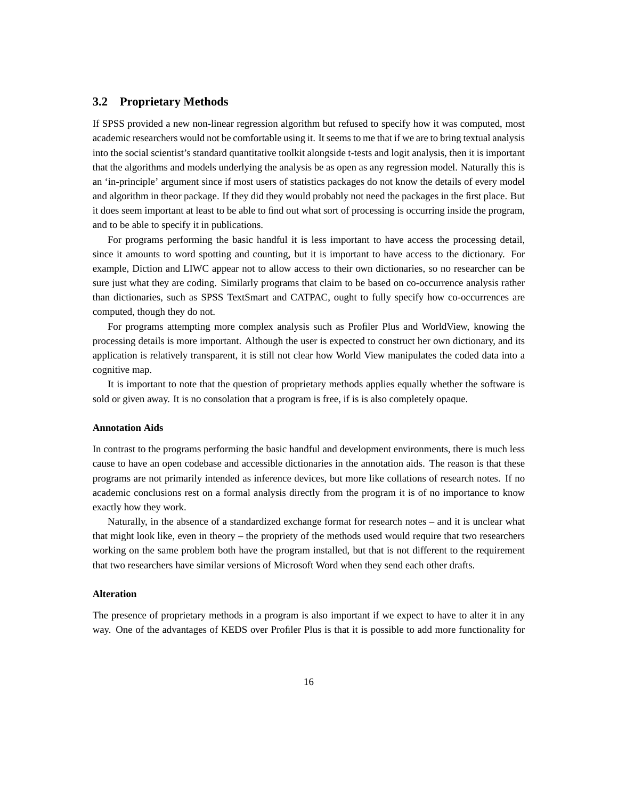### **3.2 Proprietary Methods**

If SPSS provided a new non-linear regression algorithm but refused to specify how it was computed, most academic researchers would not be comfortable using it. It seems to me that if we are to bring textual analysis into the social scientist's standard quantitative toolkit alongside t-tests and logit analysis, then it is important that the algorithms and models underlying the analysis be as open as any regression model. Naturally this is an 'in-principle' argument since if most users of statistics packages do not know the details of every model and algorithm in theor package. If they did they would probably not need the packages in the first place. But it does seem important at least to be able to find out what sort of processing is occurring inside the program, and to be able to specify it in publications.

For programs performing the basic handful it is less important to have access the processing detail, since it amounts to word spotting and counting, but it is important to have access to the dictionary. For example, Diction and LIWC appear not to allow access to their own dictionaries, so no researcher can be sure just what they are coding. Similarly programs that claim to be based on co-occurrence analysis rather than dictionaries, such as SPSS TextSmart and CATPAC, ought to fully specify how co-occurrences are computed, though they do not.

For programs attempting more complex analysis such as Profiler Plus and WorldView, knowing the processing details is more important. Although the user is expected to construct her own dictionary, and its application is relatively transparent, it is still not clear how World View manipulates the coded data into a cognitive map.

It is important to note that the question of proprietary methods applies equally whether the software is sold or given away. It is no consolation that a program is free, if is is also completely opaque.

### **Annotation Aids**

In contrast to the programs performing the basic handful and development environments, there is much less cause to have an open codebase and accessible dictionaries in the annotation aids. The reason is that these programs are not primarily intended as inference devices, but more like collations of research notes. If no academic conclusions rest on a formal analysis directly from the program it is of no importance to know exactly how they work.

Naturally, in the absence of a standardized exchange format for research notes – and it is unclear what that might look like, even in theory – the propriety of the methods used would require that two researchers working on the same problem both have the program installed, but that is not different to the requirement that two researchers have similar versions of Microsoft Word when they send each other drafts.

### **Alteration**

The presence of proprietary methods in a program is also important if we expect to have to alter it in any way. One of the advantages of KEDS over Profiler Plus is that it is possible to add more functionality for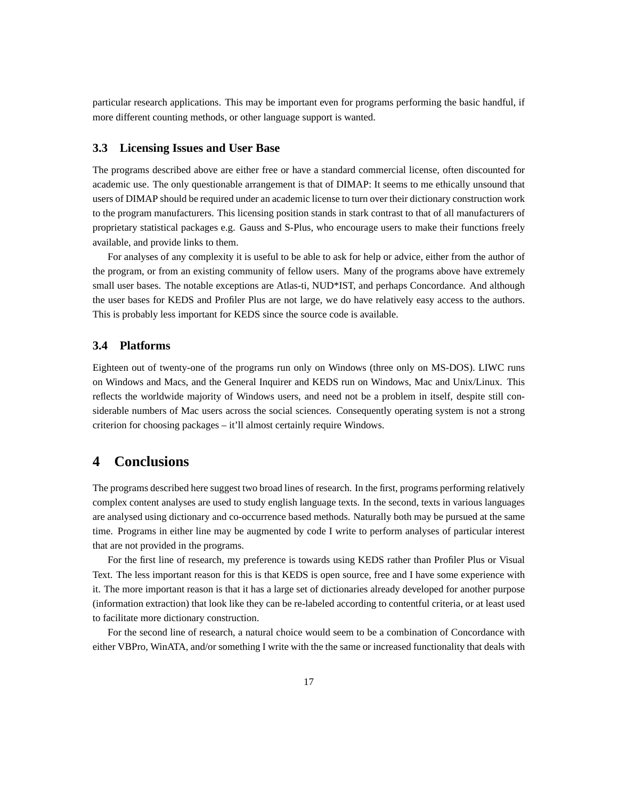particular research applications. This may be important even for programs performing the basic handful, if more different counting methods, or other language support is wanted.

### **3.3 Licensing Issues and User Base**

The programs described above are either free or have a standard commercial license, often discounted for academic use. The only questionable arrangement is that of DIMAP: It seems to me ethically unsound that users of DIMAP should be required under an academic license to turn over their dictionary construction work to the program manufacturers. This licensing position stands in stark contrast to that of all manufacturers of proprietary statistical packages e.g. Gauss and S-Plus, who encourage users to make their functions freely available, and provide links to them.

For analyses of any complexity it is useful to be able to ask for help or advice, either from the author of the program, or from an existing community of fellow users. Many of the programs above have extremely small user bases. The notable exceptions are Atlas-ti, NUD\*IST, and perhaps Concordance. And although the user bases for KEDS and Profiler Plus are not large, we do have relatively easy access to the authors. This is probably less important for KEDS since the source code is available.

### **3.4 Platforms**

Eighteen out of twenty-one of the programs run only on Windows (three only on MS-DOS). LIWC runs on Windows and Macs, and the General Inquirer and KEDS run on Windows, Mac and Unix/Linux. This reflects the worldwide majority of Windows users, and need not be a problem in itself, despite still considerable numbers of Mac users across the social sciences. Consequently operating system is not a strong criterion for choosing packages – it'll almost certainly require Windows.

# **4 Conclusions**

The programs described here suggest two broad lines of research. In the first, programs performing relatively complex content analyses are used to study english language texts. In the second, texts in various languages are analysed using dictionary and co-occurrence based methods. Naturally both may be pursued at the same time. Programs in either line may be augmented by code I write to perform analyses of particular interest that are not provided in the programs.

For the first line of research, my preference is towards using KEDS rather than Profiler Plus or Visual Text. The less important reason for this is that KEDS is open source, free and I have some experience with it. The more important reason is that it has a large set of dictionaries already developed for another purpose (information extraction) that look like they can be re-labeled according to contentful criteria, or at least used to facilitate more dictionary construction.

For the second line of research, a natural choice would seem to be a combination of Concordance with either VBPro, WinATA, and/or something I write with the the same or increased functionality that deals with